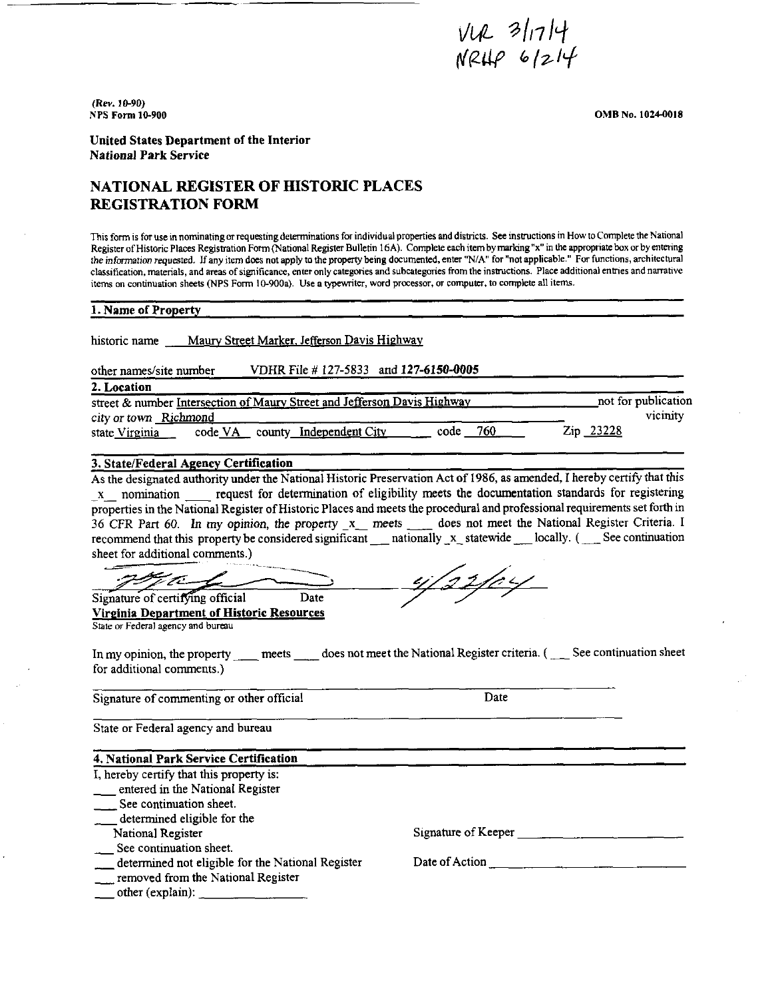*Vl)L* '.? */,1 l<-J,*  rt~tif *"/7--l'-f* 

(Rev. 10-90) NPS Form 10-900

0MB No. 1024-0018

United States Department of the Interior National Park Service

# **NATIONAL REGISTER OF HISTORIC PLACES REGISTRATION FORM**

This form is for use in nominating or requesting determinations for individual properties and districts. See instructions in How to Complete the National Register of Historic Places Registration Form (National Register Bulletin 16A). Complete each item by marking "x" in the appropriate box or by entering the information requested, If any item does not apply to the property being documented, enter "N/ A" for "not applicable." For functions, architectural classification, materials, and areas of significance, enter only categories and subcategories from the instructions. Place additional entries and narrative items on continuation sheets (NPS Form 10-900a). Use a typewriter, word processor, or computer, to complete all items.

| 1. Name of Property                                                                                                                                                                                                                                                                                                                                                                                                                                                                                                                                                                                                                                                                                                                                                                                                                                                                                                      |                |                     |
|--------------------------------------------------------------------------------------------------------------------------------------------------------------------------------------------------------------------------------------------------------------------------------------------------------------------------------------------------------------------------------------------------------------------------------------------------------------------------------------------------------------------------------------------------------------------------------------------------------------------------------------------------------------------------------------------------------------------------------------------------------------------------------------------------------------------------------------------------------------------------------------------------------------------------|----------------|---------------------|
| historic name ___ Maury Street Marker, Jefferson Davis Highway                                                                                                                                                                                                                                                                                                                                                                                                                                                                                                                                                                                                                                                                                                                                                                                                                                                           |                |                     |
|                                                                                                                                                                                                                                                                                                                                                                                                                                                                                                                                                                                                                                                                                                                                                                                                                                                                                                                          |                |                     |
| VDHR File #127-5833 and 127-6150-0005<br>other names/site number                                                                                                                                                                                                                                                                                                                                                                                                                                                                                                                                                                                                                                                                                                                                                                                                                                                         |                |                     |
| 2. Location                                                                                                                                                                                                                                                                                                                                                                                                                                                                                                                                                                                                                                                                                                                                                                                                                                                                                                              |                |                     |
| street & number Intersection of Maury Street and Jefferson Davis Highway ________________________not for publication                                                                                                                                                                                                                                                                                                                                                                                                                                                                                                                                                                                                                                                                                                                                                                                                     |                |                     |
| city or town Richmond                                                                                                                                                                                                                                                                                                                                                                                                                                                                                                                                                                                                                                                                                                                                                                                                                                                                                                    |                | vicinity            |
| state Virginia code VA county Independent City code 760                                                                                                                                                                                                                                                                                                                                                                                                                                                                                                                                                                                                                                                                                                                                                                                                                                                                  |                | Zip 23228           |
| 3. State/Federal Agency Certification                                                                                                                                                                                                                                                                                                                                                                                                                                                                                                                                                                                                                                                                                                                                                                                                                                                                                    |                |                     |
| As the designated authority under the National Historic Preservation Act of 1986, as amended, I hereby certify that this<br>x nomination request for determination of eligibility meets the documentation standards for registering<br>properties in the National Register of Historic Places and meets the procedural and professional requirements set forth in<br>36 CFR Part 60. In my opinion, the property x_ meets ____ does not meet the National Register Criteria. I<br>recommend that this property be considered significant __ nationally _x_ statewide __ locally. ( __ See continuation<br>sheet for additional comments.)<br>ya l<br>Date<br>Signature of certifying official<br>Virginia Department of Historic Resources<br>State or Federal agency and bureau<br>In my opinion, the property meets does not meet the National Register criteria. (See continuation sheet<br>for additional comments.) | 122/04         |                     |
| Signature of commenting or other official                                                                                                                                                                                                                                                                                                                                                                                                                                                                                                                                                                                                                                                                                                                                                                                                                                                                                | Date           |                     |
| State or Federal agency and bureau                                                                                                                                                                                                                                                                                                                                                                                                                                                                                                                                                                                                                                                                                                                                                                                                                                                                                       |                |                     |
| 4. National Park Service Certification                                                                                                                                                                                                                                                                                                                                                                                                                                                                                                                                                                                                                                                                                                                                                                                                                                                                                   |                |                     |
| I, hereby certify that this property is:                                                                                                                                                                                                                                                                                                                                                                                                                                                                                                                                                                                                                                                                                                                                                                                                                                                                                 |                |                     |
| __ entered in the National Register                                                                                                                                                                                                                                                                                                                                                                                                                                                                                                                                                                                                                                                                                                                                                                                                                                                                                      |                |                     |
| ____ See continuation sheet.                                                                                                                                                                                                                                                                                                                                                                                                                                                                                                                                                                                                                                                                                                                                                                                                                                                                                             |                |                     |
| determined eligible for the                                                                                                                                                                                                                                                                                                                                                                                                                                                                                                                                                                                                                                                                                                                                                                                                                                                                                              |                |                     |
| National Register                                                                                                                                                                                                                                                                                                                                                                                                                                                                                                                                                                                                                                                                                                                                                                                                                                                                                                        |                | Signature of Keeper |
| See continuation sheet.                                                                                                                                                                                                                                                                                                                                                                                                                                                                                                                                                                                                                                                                                                                                                                                                                                                                                                  |                |                     |
| determined not eligible for the National Register                                                                                                                                                                                                                                                                                                                                                                                                                                                                                                                                                                                                                                                                                                                                                                                                                                                                        | Date of Action |                     |
| removed from the National Register<br>$\frac{1}{\sqrt{1-\frac{1}{2}}}\text{other (explain):}$                                                                                                                                                                                                                                                                                                                                                                                                                                                                                                                                                                                                                                                                                                                                                                                                                            |                |                     |
|                                                                                                                                                                                                                                                                                                                                                                                                                                                                                                                                                                                                                                                                                                                                                                                                                                                                                                                          |                |                     |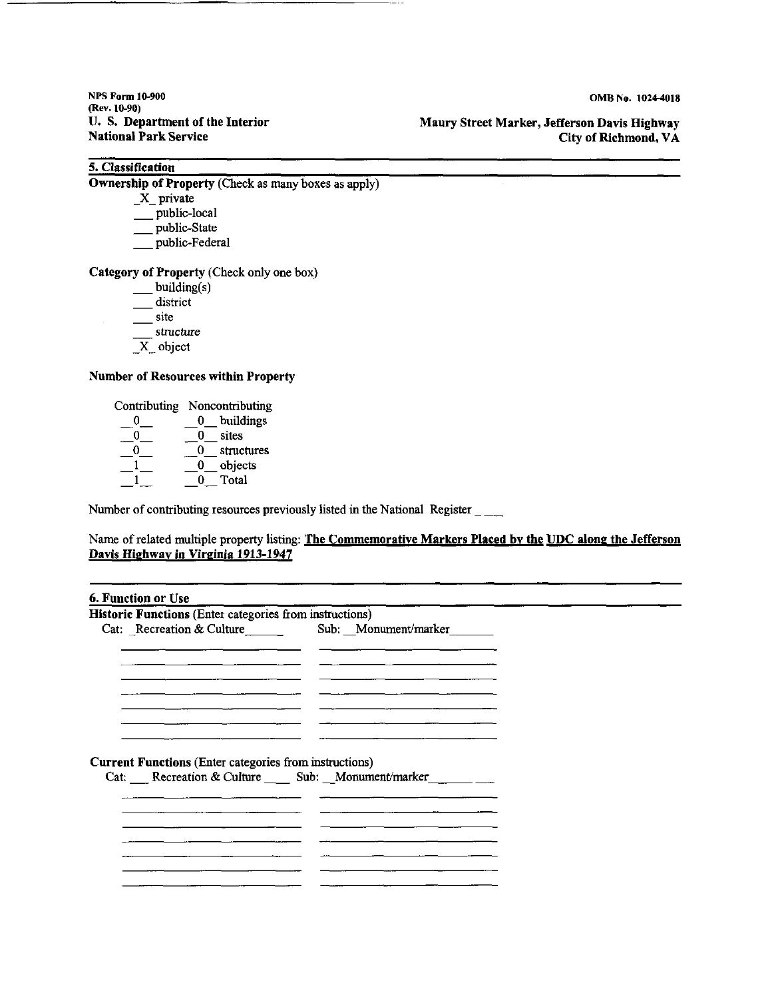NPS Form I 0-900 (Rev. 10-90) U. S. Department of the Interior National **Park** Service

**Maury Street Marker, Jefferson Davis Highway City of Richmond, VA** 

# **5. Classification**

**Ownership of Property (Check as many boxes as apply)** 

- $X$  private
- $\frac{1}{\sqrt{2}}$  public-local
- \_\_ public-State
- \_\_ public-Federal

### **Category of Property** (Check only one box)

- $\rule{1em}{0.15mm}$  building(s)
- district
- \_\_\_\_ site
- structure
- $\overline{X}$  object

#### **Number of Resources within Property**

Contributing Noncontributing

| O | buildings  |
|---|------------|
|   | sites      |
|   | structures |
|   | objects    |
|   | Total      |

Number of contributing resources previously listed in the National Register \_ \_\_

### Name of related multiple property listing: The Commemorative Markers Placed by the UDC along the Jefferson **Davis Highway in Virginia 1913-1947**

#### **6. Function or Use**

| Historic Functions (Enter categories from instructions)       |                                                           |
|---------------------------------------------------------------|-----------------------------------------------------------|
| Cat: Recreation & Culture                                     | Sub: Monument/marker                                      |
|                                                               |                                                           |
|                                                               |                                                           |
|                                                               | Cat: Recreation & Culture ______ Sub: ___ Monument/marker |
| <b>Current Functions (Enter categories from instructions)</b> |                                                           |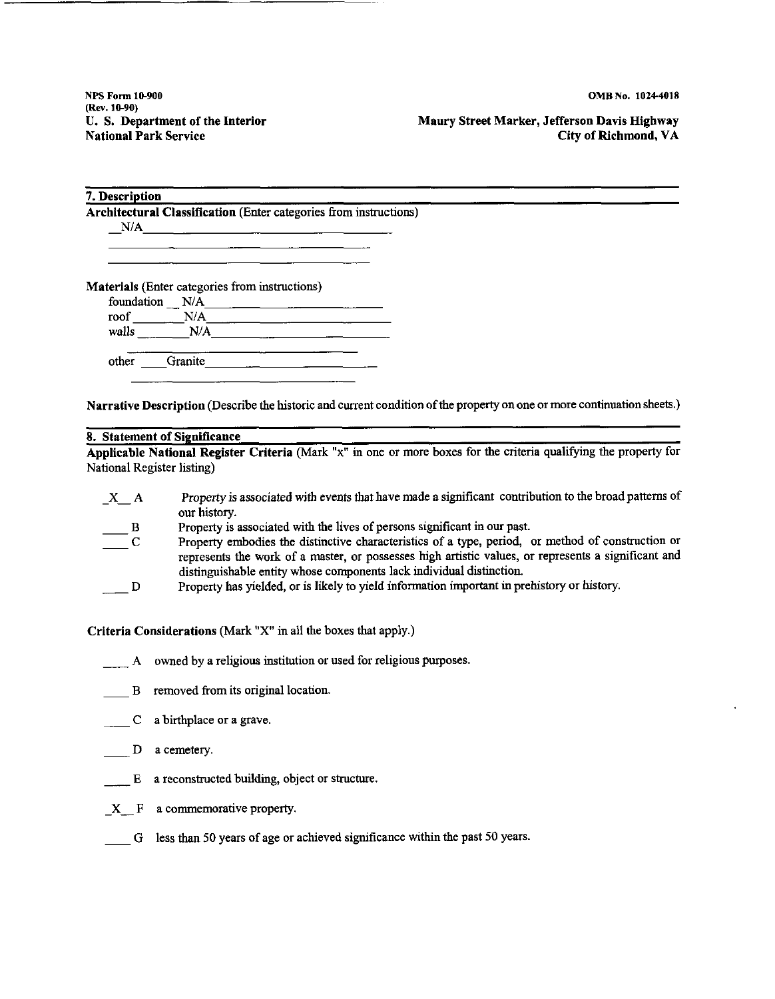NPS Form 10-900 (Rev. 10-90) U. S. Department of the Interior National Park Service

Maury Street Marker, Jefferson Davis Highway City of Richmond, VA

|                                                |         | Architectural Classification (Enter categories from instructions) |  |  |  |
|------------------------------------------------|---------|-------------------------------------------------------------------|--|--|--|
| N/A                                            |         |                                                                   |  |  |  |
|                                                |         |                                                                   |  |  |  |
|                                                |         |                                                                   |  |  |  |
|                                                |         |                                                                   |  |  |  |
|                                                |         |                                                                   |  |  |  |
| Materials (Enter categories from instructions) |         |                                                                   |  |  |  |
| foundation N/A<br>roof                         | N/A     |                                                                   |  |  |  |
| walls                                          | N/A     |                                                                   |  |  |  |
| other                                          | Granite |                                                                   |  |  |  |

**Narrative Description** (Describe the historic and current condition of the property on one or more continuation sheets.)

## **8. Statement of Significance**

**Applicable National Register Criteria** (Mark "x" in one or more boxes for the criteria qualifying the property for National Register listing)

| $X_A$                                    | Property is associated with events that have made a significant contribution to the broad patterns of |
|------------------------------------------|-------------------------------------------------------------------------------------------------------|
|                                          | our history.                                                                                          |
| $\mathbf{B}$                             | Property is associated with the lives of persons significant in our past.                             |
| $\overline{\phantom{a}}^{\phantom{a}}$ C | Property embodies the distinctive characteristics of a type, period, or method of construction or     |
|                                          | represents the work of a master, or possesses high artistic values, or represents a significant and   |
|                                          | distinguishable entity whose components lack individual distinction.                                  |
| $\mathbf{D}$                             | Property has yielded, or is likely to yield information important in prehistory or history.           |
|                                          |                                                                                                       |

**Criteria Considerations** (Mark "X" in all the boxes that apply.)

A owned by a religious institution or used for religious purposes.

- B removed from its original location.
- C a birthplace or a grave.
- $D$  a cemetery.
- $E$  a reconstructed building, object or structure.
- X F a commemorative property.
- G less than 50 years of age or achieved significance within the past 50 years.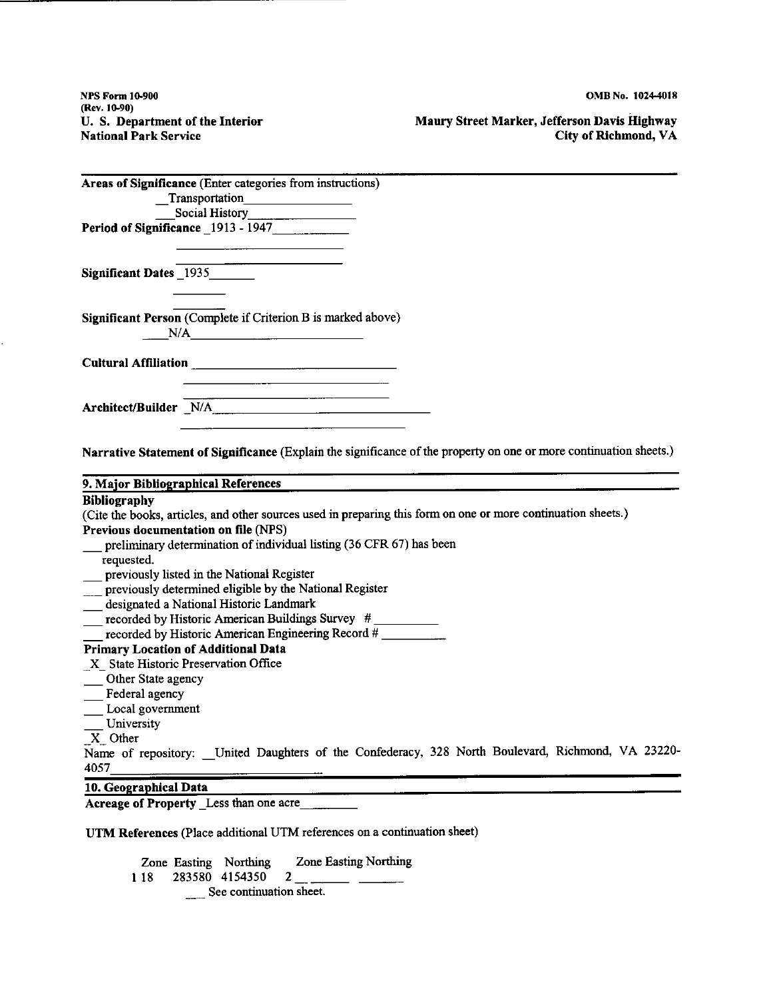NPS Form I 0-900 (Rev.10-90) U. S. Department of the Interior National Park Service

**Maury Street Marker, Jefferson Davis Highway City of Richmond, VA** 

|                        | Areas of Significance (Enter categories from instructions)                                                         |  |  |
|------------------------|--------------------------------------------------------------------------------------------------------------------|--|--|
|                        | $\begin{tabular}{c} \textbf{ -} Transportation \end{tabular}$                                                      |  |  |
|                        | Social History<br>Social History                                                                                   |  |  |
|                        | Period of Significance 1913 - 1947                                                                                 |  |  |
| Significant Dates 1935 |                                                                                                                    |  |  |
|                        | Significant Person (Complete if Criterion B is marked above)<br>N/A                                                |  |  |
|                        |                                                                                                                    |  |  |
|                        | Architect/Builder N/A<br>Marchitect/Builder N/A                                                                    |  |  |
|                        | Narrative Statement of Significance (Explain the significance of the property on one or more continuation sheets.) |  |  |
|                        |                                                                                                                    |  |  |

#### **9. Major Bibliographical References**

#### **Bibliography**

( Cite the books, articles, and other sources used in preparing this form on one or more continuation sheets.) **Previous documentation on file** (NPS) preliminary determination of individual listing (36 CFR 67) has been **requested.**  \_ previously listed in the National Register **Example 2** previously determined eligible by the National Register designated a National Historic Landmark

- $\frac{1}{2}$  recorded by Historic American Buildings Survey #
- recorded by Historic American Engineering Record  $#$

#### **Primary Location of Additional Data**

- \_ X \_ State Historic Preservation Office
- \_\_ Other State agency
- \_\_ Federal agency
- \_\_ Local government
- **University**
- **\_X\_** Other

Name of repository: \_\_ United Daughters of the Confederacy, 328 North Boulevard, Richmond, VA 23220-4057

## **10. Geographical Data**

Acreage of Property Less than one acre

**UTM References** (Place additional UTM references on a continuation sheet)

Zone Easting Northing **1** 18 283580 4154350 Zone Easting Northing 2 See continuation sheet.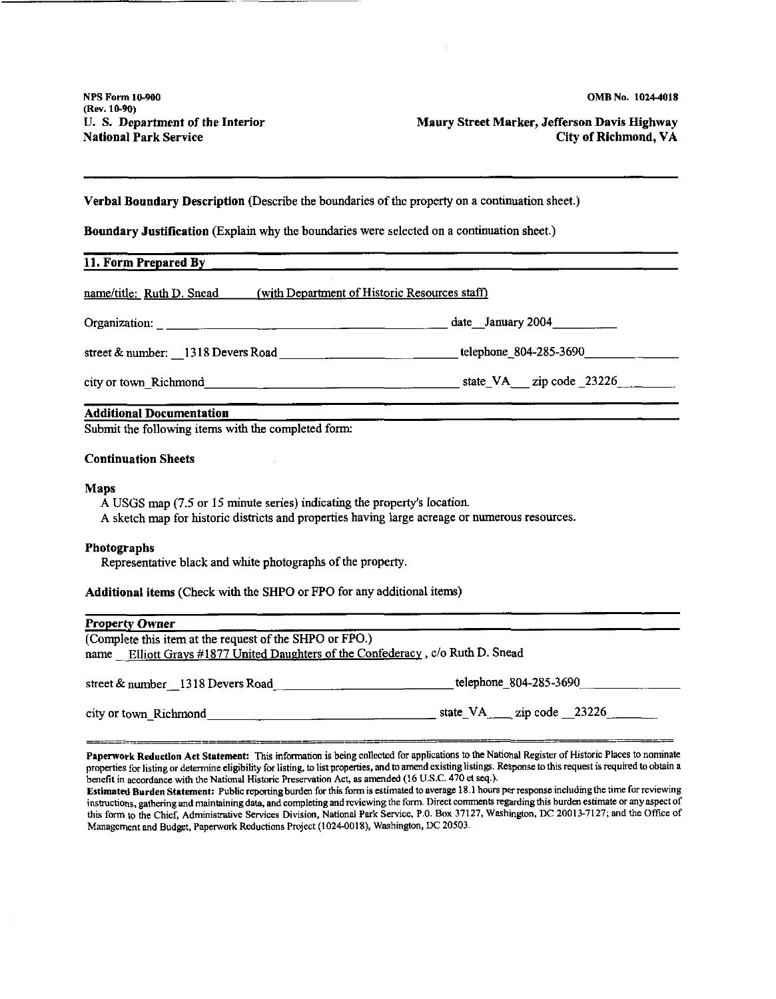**Maury Street Marker, Jefferson Davis Highway City of Richmond, VA** 

#### **Verbal Boundary Description** (Describe the boundaries of the property on a continuation sheet.)

**Boundary Justification** (Explain why the boundaries were selected on a continuation sheet.)

| 11. Form Prepared By                                                                                                                                                                      |  |
|-------------------------------------------------------------------------------------------------------------------------------------------------------------------------------------------|--|
| name/title: Ruth D. Snead (with Department of Historic Resources staff)                                                                                                                   |  |
|                                                                                                                                                                                           |  |
|                                                                                                                                                                                           |  |
|                                                                                                                                                                                           |  |
| <b>Additional Documentation</b><br>Submit the following items with the completed form:                                                                                                    |  |
| <b>Continuation Sheets</b>                                                                                                                                                                |  |
| <b>Maps</b><br>A USGS map (7.5 or 15 minute series) indicating the property's location.<br>A sketch map for historic districts and properties having large acreage or numerous resources. |  |
| <b>Photographs</b><br>Representative black and white photographs of the property.                                                                                                         |  |
| Additional items (Check with the SHPO or FPO for any additional items)                                                                                                                    |  |
| <b>Property Owner</b>                                                                                                                                                                     |  |

| (Complete this item at the request of the SHPO or FPO.)<br>name Elliott Grays #1877 United Daughters of the Confederacy, c/o Ruth D. Snead |                           |
|--------------------------------------------------------------------------------------------------------------------------------------------|---------------------------|
| street $&$ number 1318 Devers Road                                                                                                         | telephone 804-285-3690    |
| city or town Richmond                                                                                                                      | state $VA$ zip code 23226 |

Paperwork Reduction Act Statement: This information is being collected for applications to the National Register of Historic Places to nominate properties for listing or determine eligibility for listing, to list properties, and to amend existing listings. Response to this request is required to obtain a benefit in accordance with the National Historic Preservation Act, as amended (16 U.S.C. 470 et seq.).

Estimated Burden Statement: Public reporting burden for this form is estimated to average 18.1 hours per response including the time for reviewing instructions, gathering and maintaining data, and completing and reviewing the form. Direct comments regarding this burden estimate or any aspect of this form to the Chief, Administrative Services Division, National Park Service, P.O. Box 37127, Washington, DC 20013-7127; and the Office of Management and Budget, Paperwork Reductions Project (l 024-0018), Washington, DC 20503.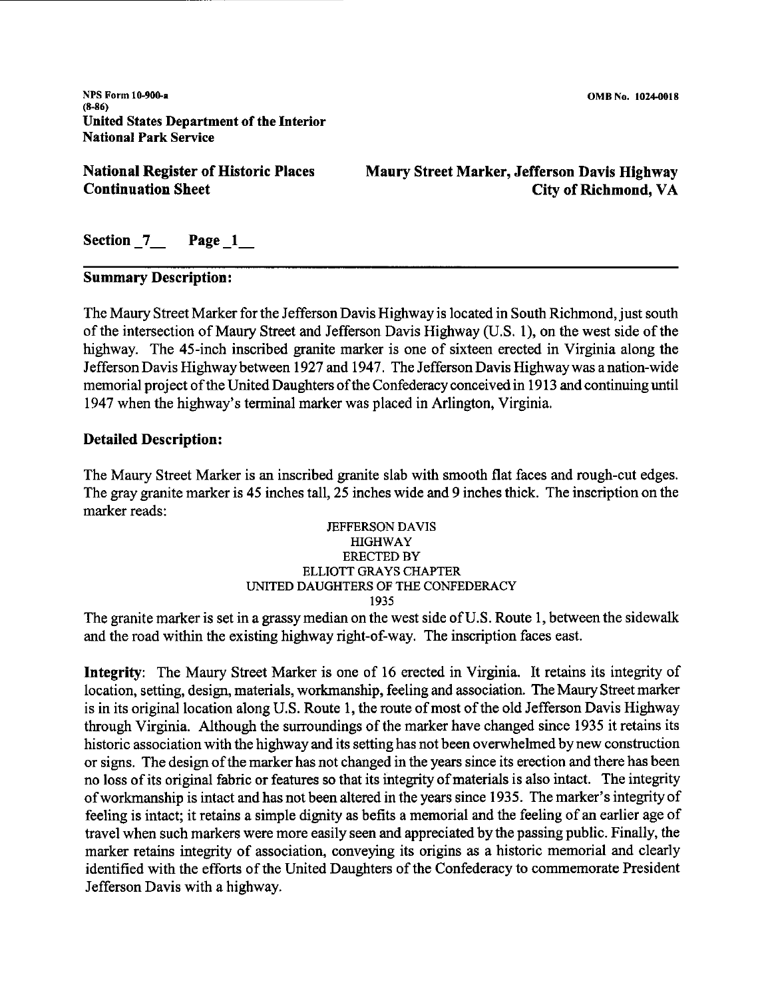**NPS Form 10-900-a**  (8-86) United States Department of the Interior National Park Service

**National Register of Historic Places Continuation Sheet** 

**Maury Street Marker, Jefferson Davis Highway City of Richmond, VA** 

Section **7** Page 1

## **Summary Description:**

The Maury Street Marker for the Jefferson Davis Highway is located in South Richmond, just south of the intersection of Maury Street and Jefferson Davis Highway (U.S. 1), on the west side of the highway. The 45-inch inscribed granite marker is one of sixteen erected in Virginia along the Jefferson Davis Highway between 1927 and 1947. The Jefferson Davis Highway was a nation-wide memorial project of the United Daughters of the Confederacy conceived in 1913 and continuing until 1947 when the highway's terminal marker was placed in Arlington, Virginia.

## **Detailed Description:**

The Maury Street Marker is an inscribed granite slab with smooth flat faces and rough-cut edges. The gray granite marker is 45 inches tall, 25 inches wide and 9 inches thick. The inscription on the marker reads:

#### JEFFERSON DAVIS HIGHWAY ERECTED BY ELLIOTT GRAYS CHAPTER UNITED DAUGHTERS OF THE CONFEDERACY 1935

The granite marker is set in a grassy median on the west side of U.S. Route 1, between the sidewalk and the road within the existing highway right-of-way. The inscription faces east.

**Integrity:** The Maury Street Marker is one of 16 erected in Virginia. It retains its integrity of location, setting, design, materials, workmanship, feeling and association. The Maury Street marker is in its original location along U.S. Route 1, the route of most of the old Jefferson Davis Highway through Virginia. Although the surroundings of the marker have changed since 1935 it retains its historic association with the highway and its setting has not been overwhelmed by new construction or signs. The design of the marker has not changed in the years since its erection and there has been no loss of its original fabric or features so that its integrity of materials is also intact. The integrity of workmanship is intact and has not been altered in the years since 1935. The marker's integrity of feeling is intact; it retains a simple dignity as befits a memorial and the feeling of an earlier age of travel when such markers were more easily seen and appreciated by the passing public. Finally, the marker retains integrity of association, conveying its origins as a historic memorial and clearly identified with the efforts of the United Daughters of the Confederacy to commemorate President Jefferson Davis with a highway.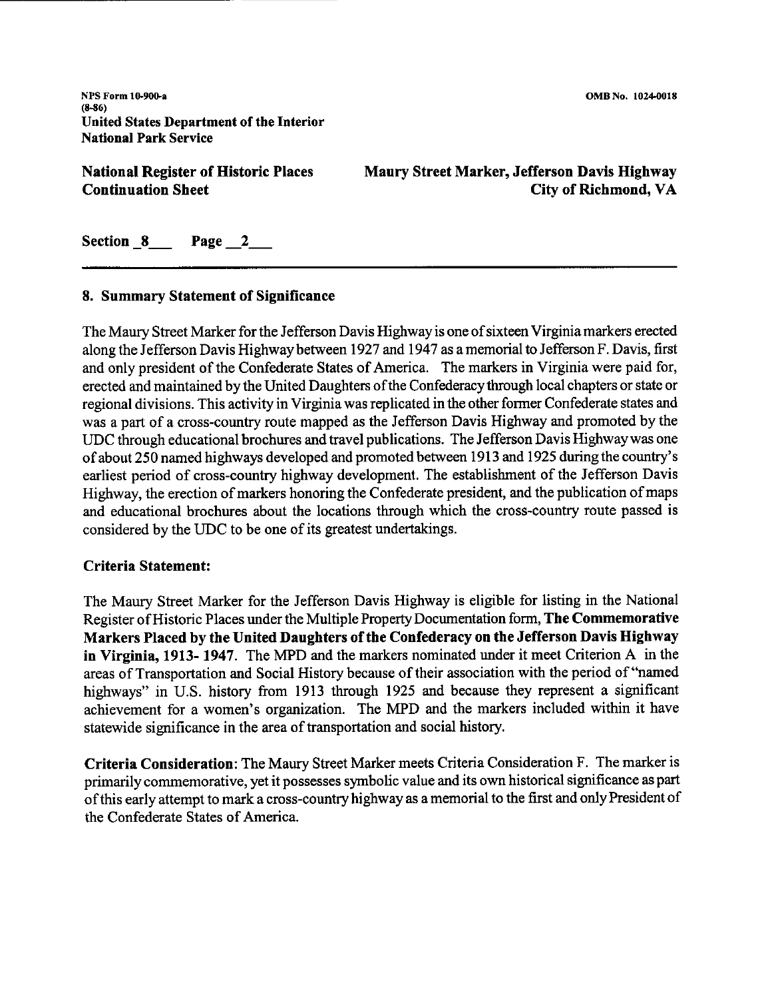**NPS Form 10.900.-a**  (8-86) United States Department of the Interior National Park Service

**National Register of Historic Places Continuation Sheet** 

**Maury Street Marker, Jefferson Davis Highway City of Richmond, VA** 

Section 8 Page 2

## **8. Summary Statement of Significance**

The Maury Street Marker for the Jefferson Davis Highway is one of sixteen Virginia markers erected along the Jefferson Davis Highway between 1927 and 1947 as a memorial to Jefferson F. Davis, first and only president of the Confederate States of America. The markers in Virginia were paid for, erected and maintained by the United Daughters of the Confederacy through local chapters or state or regional divisions. This activity in Virginia was replicated in the other former Confederate states and was a part of a cross-country route mapped as the Jefferson Davis Highway and promoted by the UDC through educational brochures and travel publications. The Jefferson Davis Highway was one of about 250 named highways developed and promoted between 1913 and 1925 during the country's earliest period of cross-country highway development. The establishment of the Jefferson Davis Highway, the erection of markers honoring the Confederate president, and the publication of maps and educational brochures about the locations through which the cross-country route passed is considered by the UDC to be one of its greatest undertakings.

## **Criteria Statement:**

The Maury Street Marker for the Jefferson Davis Highway is eligible for listing in the National Register of Historic Places under the Multiple Property Documentation form, **The Commemorative Markers Placed by the United Daughters of the Confederacy on the Jefferson Davis Highway in Virginia, 1913- 1947.** The MPD and the markers nominated under it meet Criterion A in the areas of Transportation and Social History because of their association with the period of "named highways" in U.S. history from 1913 through 1925 and because they represent a significant achievement for a women's organization. The MPD and the markers included within it have statewide significance in the area of transportation and social history.

**Criteria Consideration:** The Maury Street Marker meets Criteria Consideration F. The marker is primarily commemorative, yet it possesses symbolic value and its own historical significance as part of this early attempt to mark a cross-country highway as a memorial to the first and only President of the Confederate States of America.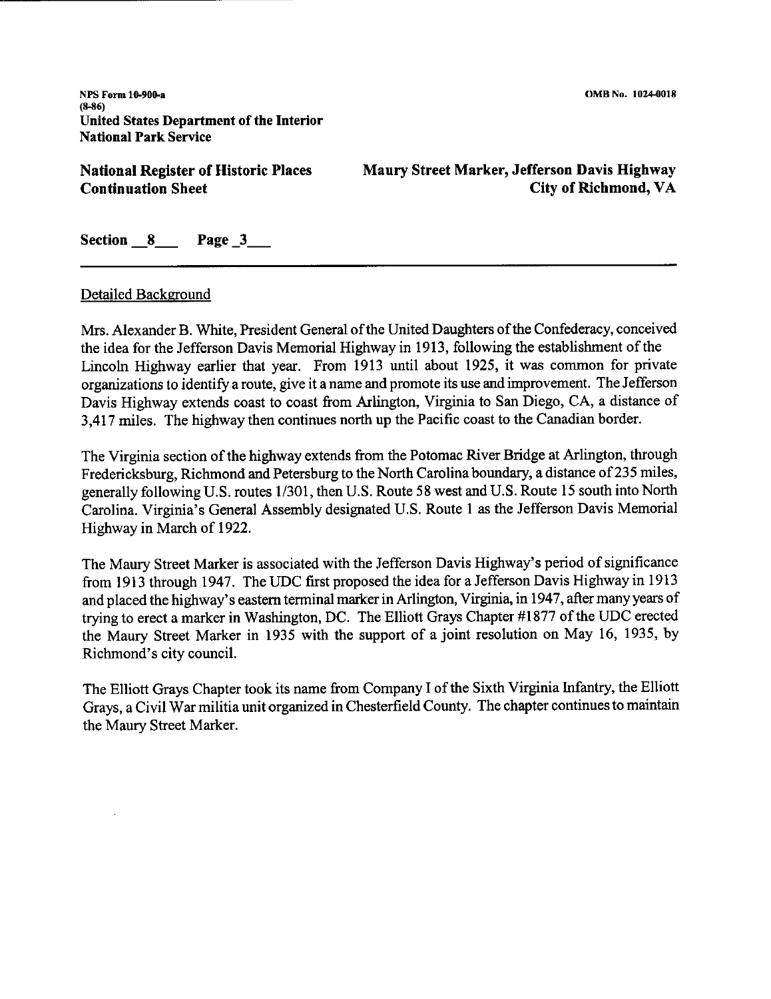**NPS Form 10-900-a**   $(8-86)$ **United** States **Department of the Interior National Park** Service

**National Register of Historic Places Continuation Sheet** 

**Maury Street Marker, Jefferson Davis Highway City of Richmond, VA** 

**Section \_8\_ Page \_3\_** 

## Detailed Background

Mrs. Alexander B. White, President General of the United Daughters of the Confederacy, conceived the idea for the Jefferson Davis Memorial Highway in 1913, following the establishment of the Lincoln Highway earlier that year. From 1913 until about 1925, it was common for private organizations to identify a route, give it a name and promote its use and improvement. The Jefferson Davis Highway extends coast to coast from Arlington, Virginia to San Diego, CA, a distance of 3,417 miles. The highway then continues north up the Pacific coast to the Canadian border.

The Virginia section of the highway extends from the Potomac River Bridge at Arlington, through Fredericksburg, Richmond and Petersburg to the North Carolina boundary, a distance of 235 miles, generally following U.S. routes 1/301, then U.S. Route 58 west and U.S. Route 15 south into North Carolina. Virginia's General Assembly designated U.S. Route I as the Jefferson Davis Memorial Highway in March of 1922.

The Maury Street Marker is associated with the Jefferson Davis Highway's period of significance from 1913 through 1947. The UDC first proposed the idea for a Jefferson Davis Highway in 1913 and placed the highway's eastern terminal marker in Arlington, Virginia, in 1947, after many years of trying to erect a marker in Washington, DC. The Elliott Grays Chapter #1877 of the UDC erected the Maury Street Marker in 1935 with the support of a joint resolution on May 16, 1935, by Richmond's city council.

The Elliott Grays Chapter took its name from Company I of the Sixth Virginia Infantry, the Elliott Grays, a Civil War militia unit organized in Chesterfield County. The chapter continues to maintain the Maury Street Marker.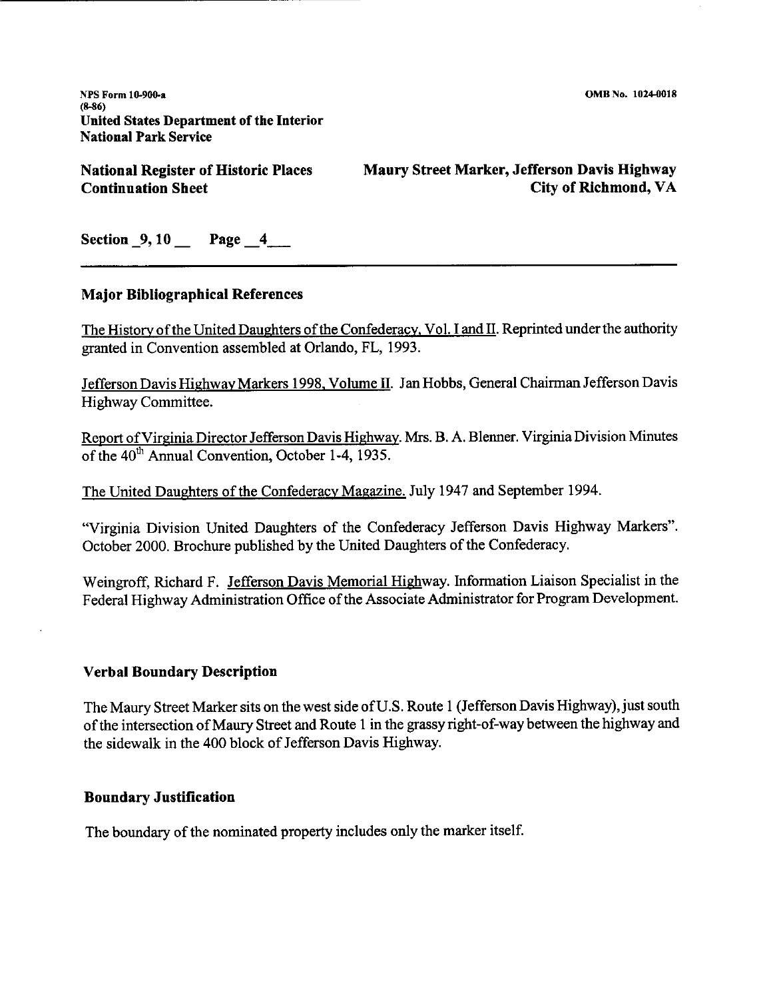**NPS Form 10-900-a** (8-86) United States Department of the Interior National Park Service

**National Register of Historic Places Continuation Sheet** 

**Maury Street Marker, Jefferson Davis Highway City of Richmond, VA** 

**Section \_9, 10** \_ **Page \_4\_** 

## **Major Bibliographical References**

The History of the United Daughters of the Confederacy. Vol. I and II. Reprinted under the authority granted in Convention assembled at Orlando, FL, 1993.

Jefferson Davis Highway Markers 1998, Volume II. Jan Hobbs, General Chairman Jefferson Davis Highway Committee.

Report ofVirginia Director Jefferson Davis Highway. Mrs. B. A. Blenner. Virginia Division Minutes of the 40<sup>th</sup> Annual Convention, October 1-4, 1935.

The United Daughters of the Confederacy Magazine. July 1947 and September 1994.

"Virginia Division United Daughters of the Confederacy Jefferson Davis Highway Markers". October 2000. Brochure published by the United Daughters of the Confederacy.

Weingroff, Richard F. Jefferson Davis Memorial Highway. Information Liaison Specialist in the Federal Highway Administration Office of the Associate Administrator for Program Development.

## **Verbal Boundary Description**

The Maury Street Marker sits on the west side of U.S. Route 1 (Jefferson Davis Highway), just south of the intersection of Maury Street and Route 1 in the grassy right-of-way between the highway and the sidewalk in the 400 block of Jefferson Davis Highway.

## **Boundary Justification**

The boundary of the nominated property includes only the marker itself.